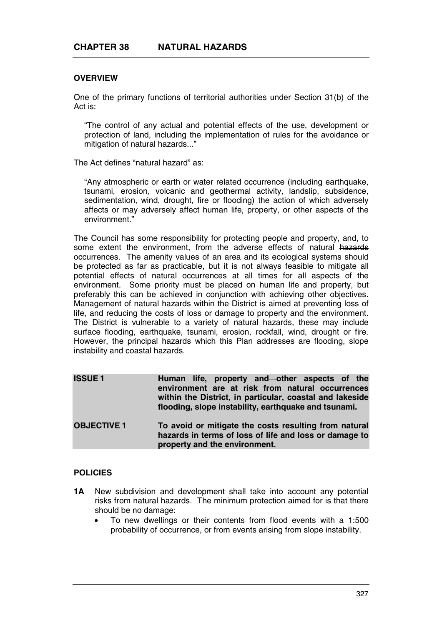# **OVERVIEW**

One of the primary functions of territorial authorities under Section 31(b) of the Act is:

"The control of any actual and potential effects of the use, development or protection of land, including the implementation of rules for the avoidance or mitigation of natural hazards..."

The Act defines "natural hazard" as:

"Any atmospheric or earth or water related occurrence (including earthquake, tsunami, erosion, volcanic and geothermal activity, landslip, subsidence, sedimentation, wind, drought, fire or flooding) the action of which adversely affects or may adversely affect human life, property, or other aspects of the environment."

The Council has some responsibility for protecting people and property, and, to some extent the environment, from the adverse effects of natural hazards occurrences. The amenity values of an area and its ecological systems should be protected as far as practicable, but it is not always feasible to mitigate all potential effects of natural occurrences at all times for all aspects of the environment. Some priority must be placed on human life and property, but preferably this can be achieved in conjunction with achieving other objectives. Management of natural hazards within the District is aimed at preventing loss of life, and reducing the costs of loss or damage to property and the environment. The District is vulnerable to a variety of natural hazards, these may include surface flooding, earthquake, tsunami, erosion, rockfall, wind, drought or fire. However, the principal hazards which this Plan addresses are flooding, slope instability and coastal hazards.

| <b>ISSUE1</b>      | Human life, property and—other aspects of the<br>environment are at risk from natural occurrences<br>within the District, in particular, coastal and lakeside<br>flooding, slope instability, earthquake and tsunami. |
|--------------------|-----------------------------------------------------------------------------------------------------------------------------------------------------------------------------------------------------------------------|
| <b>OBJECTIVE 1</b> | To avoid or mitigate the costs resulting from natural<br>hazards in terms of loss of life and loss or damage to<br>property and the environment.                                                                      |

### **POLICIES**

- **1A** New subdivision and development shall take into account any potential risks from natural hazards. The minimum protection aimed for is that there should be no damage:
	- To new dwellings or their contents from flood events with a 1:500 probability of occurrence, or from events arising from slope instability.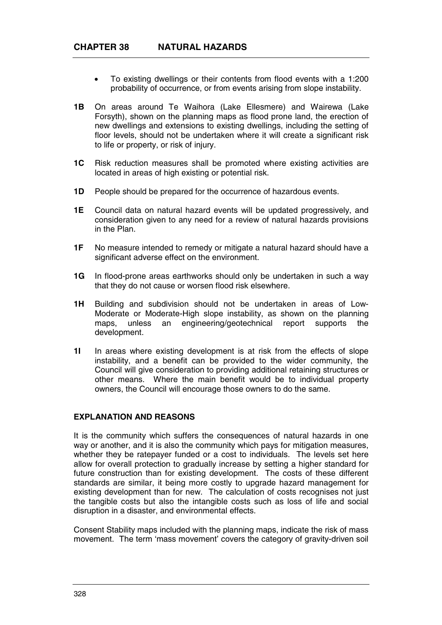- To existing dwellings or their contents from flood events with a 1:200 probability of occurrence, or from events arising from slope instability.
- **1B** On areas around Te Waihora (Lake Ellesmere) and Wairewa (Lake Forsyth), shown on the planning maps as flood prone land, the erection of new dwellings and extensions to existing dwellings, including the setting of floor levels, should not be undertaken where it will create a significant risk to life or property, or risk of injury.
- **1C** Risk reduction measures shall be promoted where existing activities are located in areas of high existing or potential risk.
- **1D** People should be prepared for the occurrence of hazardous events.
- **1E** Council data on natural hazard events will be updated progressively, and consideration given to any need for a review of natural hazards provisions in the Plan.
- **1F** No measure intended to remedy or mitigate a natural hazard should have a significant adverse effect on the environment.
- **1G** In flood-prone areas earthworks should only be undertaken in such a way that they do not cause or worsen flood risk elsewhere.
- **1H** Building and subdivision should not be undertaken in areas of Low-Moderate or Moderate-High slope instability, as shown on the planning maps, unless an engineering/geotechnical report supports the development.
- **1I** In areas where existing development is at risk from the effects of slope instability, and a benefit can be provided to the wider community, the Council will give consideration to providing additional retaining structures or other means. Where the main benefit would be to individual property owners, the Council will encourage those owners to do the same.

### **EXPLANATION AND REASONS**

It is the community which suffers the consequences of natural hazards in one way or another, and it is also the community which pays for mitigation measures, whether they be ratepayer funded or a cost to individuals. The levels set here allow for overall protection to gradually increase by setting a higher standard for future construction than for existing development. The costs of these different standards are similar, it being more costly to upgrade hazard management for existing development than for new. The calculation of costs recognises not just the tangible costs but also the intangible costs such as loss of life and social disruption in a disaster, and environmental effects.

Consent Stability maps included with the planning maps, indicate the risk of mass movement. The term 'mass movement' covers the category of gravity-driven soil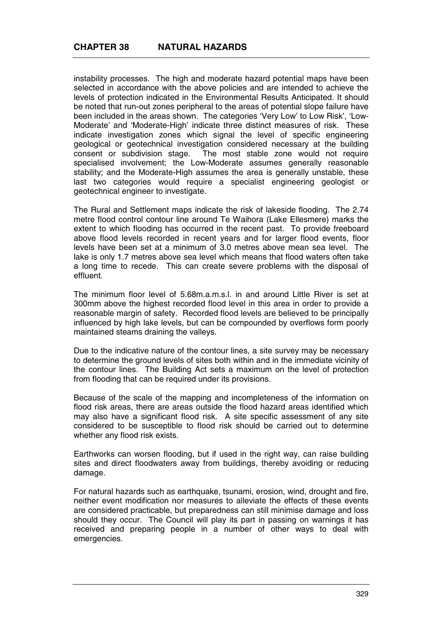instability processes. The high and moderate hazard potential maps have been selected in accordance with the above policies and are intended to achieve the levels of protection indicated in the Environmental Results Anticipated. It should be noted that run-out zones peripheral to the areas of potential slope failure have been included in the areas shown. The categories 'Very Low' to Low Risk', 'Low-Moderate' and 'Moderate-High' indicate three distinct measures of risk. These indicate investigation zones which signal the level of specific engineering geological or geotechnical investigation considered necessary at the building consent or subdivision stage. The most stable zone would not require specialised involvement; the Low-Moderate assumes generally reasonable stability; and the Moderate-High assumes the area is generally unstable, these last two categories would require a specialist engineering geologist or geotechnical engineer to investigate.

The Rural and Settlement maps indicate the risk of lakeside flooding. The 2.74 metre flood control contour line around Te Waihora (Lake Ellesmere) marks the extent to which flooding has occurred in the recent past. To provide freeboard above flood levels recorded in recent years and for larger flood events, floor levels have been set at a minimum of 3.0 metres above mean sea level. The lake is only 1.7 metres above sea level which means that flood waters often take a long time to recede. This can create severe problems with the disposal of effluent.

The minimum floor level of 5.68m.a.m.s.l. in and around Little River is set at 300mm above the highest recorded flood level in this area in order to provide a reasonable margin of safety. Recorded flood levels are believed to be principally influenced by high lake levels, but can be compounded by overflows form poorly maintained steams draining the valleys.

Due to the indicative nature of the contour lines, a site survey may be necessary to determine the ground levels of sites both within and in the immediate vicinity of the contour lines. The Building Act sets a maximum on the level of protection from flooding that can be required under its provisions.

Because of the scale of the mapping and incompleteness of the information on flood risk areas, there are areas outside the flood hazard areas identified which may also have a significant flood risk. A site specific assessment of any site considered to be susceptible to flood risk should be carried out to determine whether any flood risk exists.

Earthworks can worsen flooding, but if used in the right way, can raise building sites and direct floodwaters away from buildings, thereby avoiding or reducing damage.

For natural hazards such as earthquake, tsunami, erosion, wind, drought and fire, neither event modification nor measures to alleviate the effects of these events are considered practicable, but preparedness can still minimise damage and loss should they occur. The Council will play its part in passing on warnings it has received and preparing people in a number of other ways to deal with emergencies.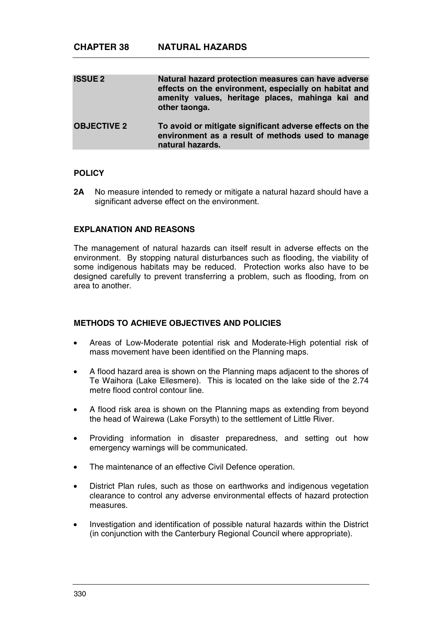| <b>ISSUE 2</b>     | Natural hazard protection measures can have adverse<br>effects on the environment, especially on habitat and<br>amenity values, heritage places, mahinga kai and<br>other taonga. |
|--------------------|-----------------------------------------------------------------------------------------------------------------------------------------------------------------------------------|
| <b>OBJECTIVE 2</b> | To avoid or mitigate significant adverse effects on the<br>environment as a result of methods used to manage<br>natural hazards.                                                  |

#### **POLICY**

**2A** No measure intended to remedy or mitigate a natural hazard should have a significant adverse effect on the environment.

#### **EXPLANATION AND REASONS**

The management of natural hazards can itself result in adverse effects on the environment. By stopping natural disturbances such as flooding, the viability of some indigenous habitats may be reduced. Protection works also have to be designed carefully to prevent transferring a problem, such as flooding, from on area to another.

### **METHODS TO ACHIEVE OBJECTIVES AND POLICIES**

- Areas of Low-Moderate potential risk and Moderate-High potential risk of mass movement have been identified on the Planning maps.
- A flood hazard area is shown on the Planning maps adjacent to the shores of Te Waihora (Lake Ellesmere). This is located on the lake side of the 2.74 metre flood control contour line.
- A flood risk area is shown on the Planning maps as extending from beyond the head of Wairewa (Lake Forsyth) to the settlement of Little River.
- Providing information in disaster preparedness, and setting out how emergency warnings will be communicated.
- The maintenance of an effective Civil Defence operation.
- District Plan rules, such as those on earthworks and indigenous vegetation clearance to control any adverse environmental effects of hazard protection measures.
- Investigation and identification of possible natural hazards within the District (in conjunction with the Canterbury Regional Council where appropriate).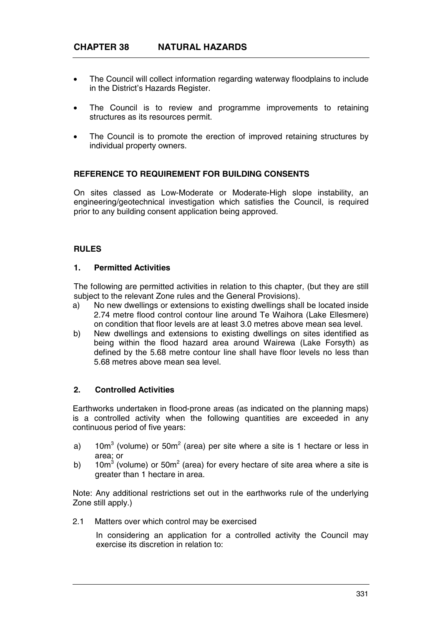- The Council will collect information regarding waterway floodplains to include in the District's Hazards Register.
- The Council is to review and programme improvements to retaining structures as its resources permit.
- The Council is to promote the erection of improved retaining structures by individual property owners.

### **REFERENCE TO REQUIREMENT FOR BUILDING CONSENTS**

On sites classed as Low-Moderate or Moderate-High slope instability, an engineering/geotechnical investigation which satisfies the Council, is required prior to any building consent application being approved.

#### **RULES**

### **1. Permitted Activities**

The following are permitted activities in relation to this chapter, (but they are still subject to the relevant Zone rules and the General Provisions).

- a) No new dwellings or extensions to existing dwellings shall be located inside 2.74 metre flood control contour line around Te Waihora (Lake Ellesmere) on condition that floor levels are at least 3.0 metres above mean sea level.
- b) New dwellings and extensions to existing dwellings on sites identified as being within the flood hazard area around Wairewa (Lake Forsyth) as defined by the 5.68 metre contour line shall have floor levels no less than 5.68 metres above mean sea level.

#### **2. Controlled Activities**

Earthworks undertaken in flood-prone areas (as indicated on the planning maps) is a controlled activity when the following quantities are exceeded in any continuous period of five years:

- a) 10m<sup>3</sup> (volume) or 50m<sup>2</sup> (area) per site where a site is 1 hectare or less in area; or
- b) 10m<sup>3</sup> (volume) or 50m<sup>2</sup> (area) for every hectare of site area where a site is greater than 1 hectare in area.

Note: Any additional restrictions set out in the earthworks rule of the underlying Zone still apply.)

2.1 Matters over which control may be exercised

In considering an application for a controlled activity the Council may exercise its discretion in relation to: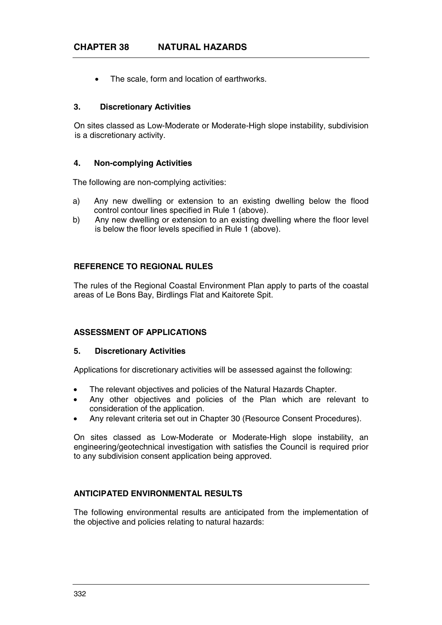• The scale, form and location of earthworks.

### **3. Discretionary Activities**

On sites classed as Low-Moderate or Moderate-High slope instability, subdivision is a discretionary activity.

#### **4. Non-complying Activities**

The following are non-complying activities:

- a) Any new dwelling or extension to an existing dwelling below the flood control contour lines specified in Rule 1 (above).
- b) Any new dwelling or extension to an existing dwelling where the floor level is below the floor levels specified in Rule 1 (above).

# **REFERENCE TO REGIONAL RULES**

The rules of the Regional Coastal Environment Plan apply to parts of the coastal areas of Le Bons Bay, Birdlings Flat and Kaitorete Spit.

### **ASSESSMENT OF APPLICATIONS**

#### **5. Discretionary Activities**

Applications for discretionary activities will be assessed against the following:

- The relevant objectives and policies of the Natural Hazards Chapter.
- Any other objectives and policies of the Plan which are relevant to consideration of the application.
- Any relevant criteria set out in Chapter 30 (Resource Consent Procedures).

On sites classed as Low-Moderate or Moderate-High slope instability, an engineering/geotechnical investigation with satisfies the Council is required prior to any subdivision consent application being approved.

# **ANTICIPATED ENVIRONMENTAL RESULTS**

The following environmental results are anticipated from the implementation of the objective and policies relating to natural hazards: